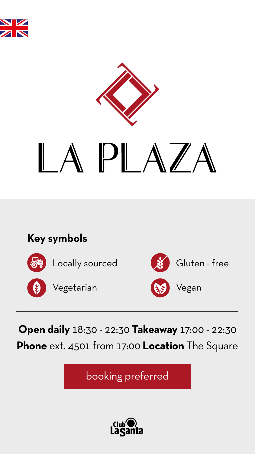



# APLAZA

# **Open daily** 18:30 - 22:30 **Takeaway** 17:00 - 22:30 **Phone** ext. 4501 from 17:00 **Location** The Square

booking preferred



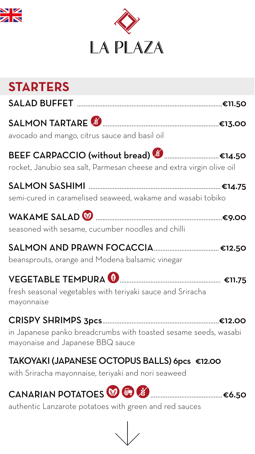



# **STARTERS**

| <b>SALAD BUFFET</b> |  |
|---------------------|--|
|---------------------|--|

### SALMON TARTARE ....................................................................€13.00

avocado and mango, citrus sauce and basil oil

### BEEF CARPACCIO (without bread) & .............................€14.50



rocket, Janubio sea salt, Parmesan cheese and extra virgin olive oil

SALMON SASHIMI .............................................................................€14.75

semi-cured in caramelised seaweed, wakame and wasabi tobiko



### WAKAME SALAD ..........................................................................€9.00

seasoned with sesame, cucumber noodles and chilli

### SALMON AND PRAWN FOCACCIA......................................€12.50

beansprouts, orange and Modena balsamic vinegar

### VEGETABLE TEMPURA ........................................................... €11.75

fresh seasonal vegetables with teriyaki sauce and Sriracha mayonnaise

# CRISPY SHRIMPS 3pcs....................................................................€12.00

in Japanese panko breadcrumbs with toasted sesame seeds, wasabi mayonaise and Japanese BBQ sauce

### TAKOYAKI (JAPANESE OCTOPUS BALLS) 6pcs €12.00

with Sriracha mayonnaise, teriyaki and nori seaweed

## CANARIAN POTATOES ..........................................€6.50



authentic Lanzarote potatoes with green and red sauces

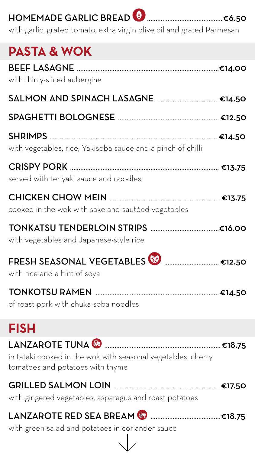# HOMEMADE GARLIC BREAD ............................................€6.50



BEEF LASAGNE ...................................................................................€14.00 with thinly-sliced aubergine

SALMON AND SPINACH LASAGNE ................................€14.50

with garlic, grated tomato, extra virgin olive oil and grated Parmesan

# **PASTA & WOK**

SPAGHETTI BOLOGNESE ........................................................... €12.50

SHRIMPS ...................................................................................................€14.50

with vegetables, rice, Yakisoba sauce and a pinch of chilli

CRISPY PORK ....................................................................................... €13.75 served with teriyaki sauce and noodles

#### CHICKEN CHOW MEIN .................................................................€13.75 cooked in the wok with sake and sautéed vegetables

# TONKATSU TENDERLOIN STRIPS ........................................€16.00 with vegetables and Japanese-style rice FRESH SEASONAL VEGETABLES<sup>®</sup> ................................€12.50 with rice and a hint of soya

### TONKOTSU RAMEN ........................................................................€14.50

of roast pork with chuka soba noodles

# **FISH**



in tataki cooked in the wok with seasonal vegetables, cherry tomatoes and potatoes with thyme

### GRILLED SALMON LOIN ..............................................................€17.50

with gingered vegetables, asparagus and roast potatoes

### LANZAROTE RED SEA BREAM .........................................€18.75

#### with green salad and potatoes in coriander sauce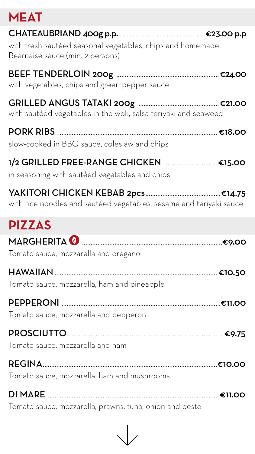### **MEAT**

| with fresh sautéed seasonal vegetables, chips and homemade<br>Bearnaise sauce (min. 2 persons) |
|------------------------------------------------------------------------------------------------|
| with vegetables, chips and green pepper sauce                                                  |
| with sautéed vegetables in the wok, salsa teriyaki and seaweed                                 |
| slow-cooked in BBQ sauce, coleslaw and chips                                                   |
| 1/2 GRILLED FREE-RANGE CHICKEN €15.00<br>in seasoning with sautéed vegetables and chips        |
| with rice noodles and sautéed vegetables, sesame and teriyaki sauce                            |





Tomato sauce, mozzarella and oregano

HAWAIIAN ...............................................................................................€10.50 Tomato sauce, mozzarella, ham and pineapple

PEPPERONI .............................................................................................€11.00 Tomato sauce, mozzarella and pepperoni

#### PROSCIUTTO............................................................................................€9.75

Tomato sauce, mozzarella and ham

REGINA......................................................................................................€10.00

Tomato sauce, mozzarella, ham and mushrooms

DI MARE.....................................................................................................€11.00

Tomato sauce, mozzarella, prawns, tuna, onion and pesto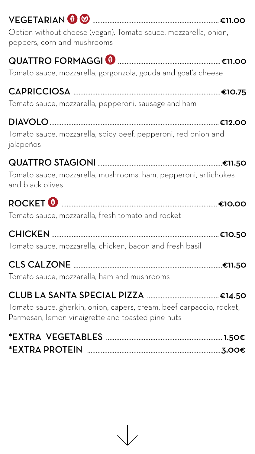

Option without cheese (vegan). Tomato sauce, mozzarella, onion, peppers, corn and mushrooms



Tomato sauce, mozzarella, gorgonzola, gouda and goat's cheese

CAPRICCIOSA ......................................................................................€10.75 Tomato sauce, mozzarella, pepperoni, sausage and ham

# DIAVOLO...................................................................................................€12.00

Tomato sauce, mozzarella, spicy beef, pepperoni, red onion and jalapeños

#### QUATTRO STAGIONI .........................................................................€11.50 Tomato sauce, mozzarella, mushrooms, ham, pepperoni, artichokes and black olives



Tomato sauce, mozzarella, fresh tomato and rocket

CHICKEN ..................................................................................................€10.50 Tomato sauce, mozzarella, chicken, bacon and fresh basil

CLS CALZONE .......................................................................................€11.50

Tomato sauce, mozzarella, ham and mushrooms

# CLUB LA SANTA SPECIAL PIZZA ..........................................€14.50

Tomato sauce, gherkin, onion, capers, cream, beef carpaccio, rocket, Parmesan, lemon vinaigrette and toasted pine nuts